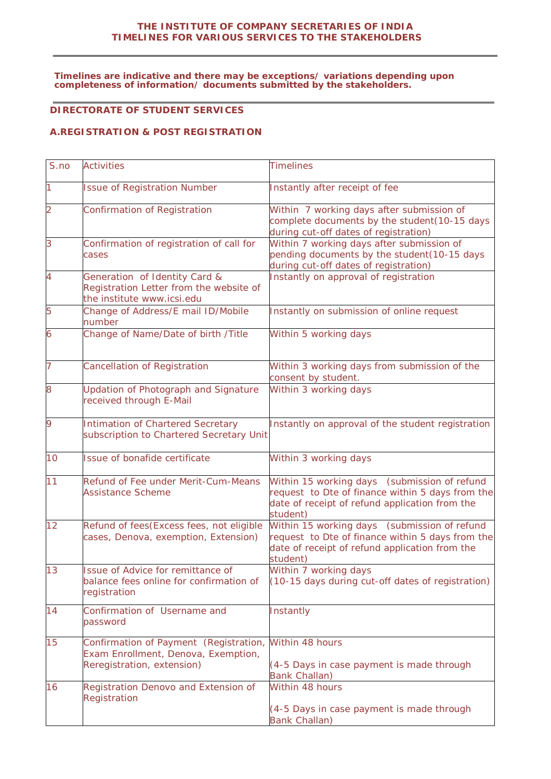#### **THE INSTITUTE OF COMPANY SECRETARIES OF INDIA TIMELINES FOR VARIOUS SERVICES TO THE STAKEHOLDERS**

**Timelines are indicative and there may be exceptions/ variations depending upon completeness of information/ documents submitted by the stakeholders.**

### **DIRECTORATE OF STUDENT SERVICES**

### **A.REGISTRATION & POST REGISTRATION**

| S.no           | <b>Activities</b>                                                                                           | <b>Timelines</b>                                                                                                                                               |
|----------------|-------------------------------------------------------------------------------------------------------------|----------------------------------------------------------------------------------------------------------------------------------------------------------------|
|                | <b>Issue of Registration Number</b>                                                                         | Instantly after receipt of fee                                                                                                                                 |
| $\overline{2}$ | Confirmation of Registration                                                                                | Within 7 working days after submission of<br>complete documents by the student (10-15 days<br>during cut-off dates of registration)                            |
| 3              | Confirmation of registration of call for<br>cases                                                           | Within 7 working days after submission of<br>pending documents by the student (10-15 days<br>during cut-off dates of registration)                             |
| 4              | Generation of Identity Card &<br>Registration Letter from the website of<br>the institute www.icsi.edu      | Instantly on approval of registration                                                                                                                          |
| 5              | Change of Address/E mail ID/Mobile<br>number                                                                | Instantly on submission of online request                                                                                                                      |
| 6              | Change of Name/Date of birth /Title                                                                         | Within 5 working days                                                                                                                                          |
| $\overline{7}$ | <b>Cancellation of Registration</b>                                                                         | Within 3 working days from submission of the<br>consent by student.                                                                                            |
| 8              | Updation of Photograph and Signature<br>received through E-Mail                                             | Within 3 working days                                                                                                                                          |
| 9              | Intimation of Chartered Secretary<br>subscription to Chartered Secretary Unit                               | Instantly on approval of the student registration                                                                                                              |
| 10             | Issue of bonafide certificate                                                                               | Within 3 working days                                                                                                                                          |
| 11             | Refund of Fee under Merit-Cum-Means<br><b>Assistance Scheme</b>                                             | Within 15 working days (submission of refund<br>request to Dte of finance within 5 days from the<br>date of receipt of refund application from the<br>student) |
| 12             | Refund of fees (Excess fees, not eligible<br>cases, Denova, exemption, Extension)                           | Within 15 working days (submission of refund<br>request to Dte of finance within 5 days from the<br>date of receipt of refund application from the<br>student) |
| 13             | Issue of Advice for remittance of<br>balance fees online for confirmation of<br>registration                | Within 7 working days<br>(10-15 days during cut-off dates of registration)                                                                                     |
| 14             | Confirmation of Username and<br>password                                                                    | Instantly                                                                                                                                                      |
| 15             | Confirmation of Payment (Registration,<br>Exam Enrollment, Denova, Exemption,<br>Reregistration, extension) | Within 48 hours<br>(4-5 Days in case payment is made through<br><b>Bank Challan)</b>                                                                           |
| 16             | Registration Denovo and Extension of<br>Registration                                                        | Within 48 hours<br>(4-5 Days in case payment is made through<br><b>Bank Challan)</b>                                                                           |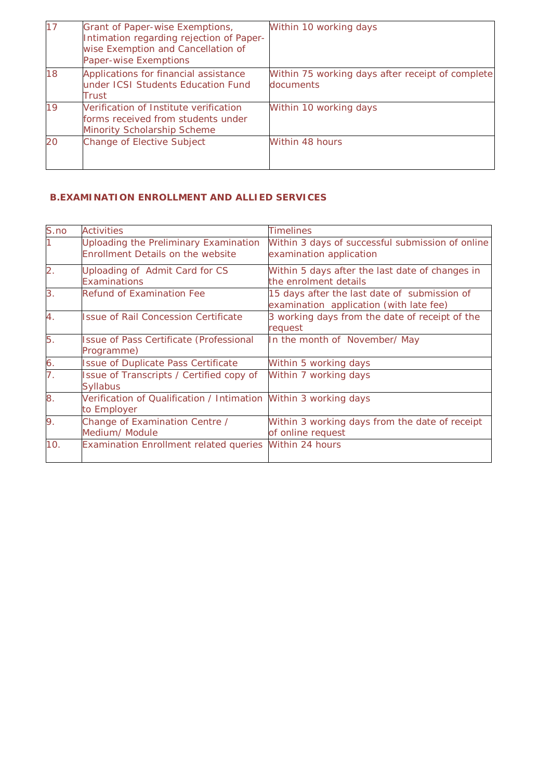| 17 | Grant of Paper-wise Exemptions,<br>Intimation regarding rejection of Paper-<br>wise Exemption and Cancellation of<br>Paper-wise Exemptions | Within 10 working days                                        |
|----|--------------------------------------------------------------------------------------------------------------------------------------------|---------------------------------------------------------------|
| 18 | Applications for financial assistance<br>under ICSI Students Education Fund<br>Trust                                                       | Within 75 working days after receipt of complete<br>documents |
| 19 | Verification of Institute verification<br>forms received from students under<br><b>Minority Scholarship Scheme</b>                         | Within 10 working days                                        |
| 20 | Change of Elective Subject                                                                                                                 | Within 48 hours                                               |

# **B.EXAMINATION ENROLLMENT AND ALLIED SERVICES**

| S.no             | <b>Activities</b>                                                                 | <b>Timelines</b>                                                                        |
|------------------|-----------------------------------------------------------------------------------|-----------------------------------------------------------------------------------------|
|                  | Uploading the Preliminary Examination<br><b>Enrollment Details on the website</b> | Within 3 days of successful submission of online<br>examination application             |
| $\overline{2}$ . | Uploading of Admit Card for CS<br><b>Examinations</b>                             | Within 5 days after the last date of changes in<br>the enrolment details                |
| 3.               | <b>Refund of Examination Fee</b>                                                  | 15 days after the last date of submission of<br>examination application (with late fee) |
| 4.               | <b>Issue of Rail Concession Certificate</b>                                       | 3 working days from the date of receipt of the<br>request                               |
| 5.               | <b>Issue of Pass Certificate (Professional</b><br>Programme)                      | In the month of November/May                                                            |
| 6.               | <b>Issue of Duplicate Pass Certificate</b>                                        | Within 5 working days                                                                   |
| $\overline{7}$ . | Issue of Transcripts / Certified copy of<br><b>Syllabus</b>                       | Within 7 working days                                                                   |
| 8.               | Verification of Qualification / Intimation Within 3 working days<br>to Employer   |                                                                                         |
| 9.               | Change of Examination Centre /<br>Medium/ Module                                  | Within 3 working days from the date of receipt<br>of online request                     |
| 10.              | <b>Examination Enrollment related queries</b>                                     | Within 24 hours                                                                         |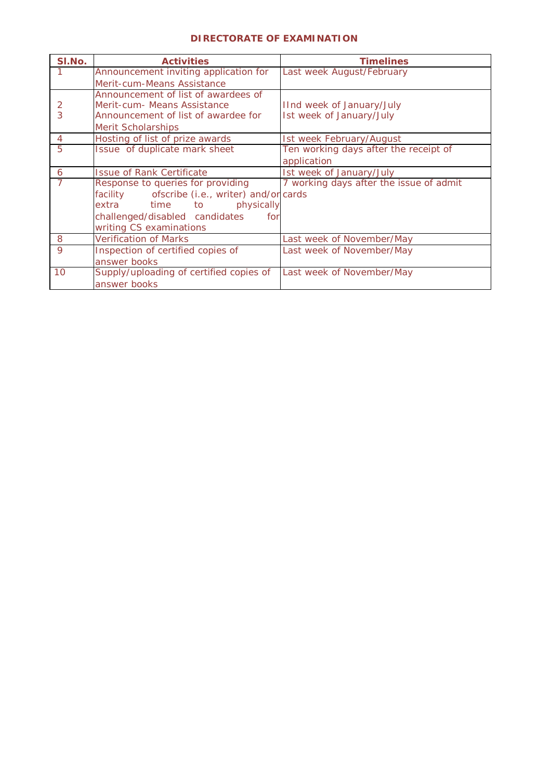### **DIRECTORATE OF EXAMINATION**

| SI.No.         | <b>Activities</b>                             | <b>Timelines</b>                        |
|----------------|-----------------------------------------------|-----------------------------------------|
|                | Announcement inviting application for         | Last week August/February               |
|                | Merit-cum-Means Assistance                    |                                         |
|                | Announcement of list of awardees of           |                                         |
| 2              | Merit-cum- Means Assistance                   | IInd week of January/July               |
| 3              | Announcement of list of awardee for           | Ist week of January/July                |
|                | Merit Scholarships                            |                                         |
| $\overline{4}$ | Hosting of list of prize awards               | Ist week February/August                |
| 5              | Issue of duplicate mark sheet                 | Ten working days after the receipt of   |
|                |                                               | application                             |
| 6              | <b>Issue of Rank Certificate</b>              | Ist week of January/July                |
|                | Response to queries for providing             | 7 working days after the issue of admit |
|                | facility ofscribe (i.e., writer) and/or cards |                                         |
|                | extra time to<br>physically                   |                                         |
|                | challenged/disabled candidates<br>for         |                                         |
|                | writing CS examinations                       |                                         |
| 8              | <b>Verification of Marks</b>                  | Last week of November/May               |
| 9              | Inspection of certified copies of             | Last week of November/May               |
|                | answer books                                  |                                         |
| 10             | Supply/uploading of certified copies of       | Last week of November/May               |
|                | answer books                                  |                                         |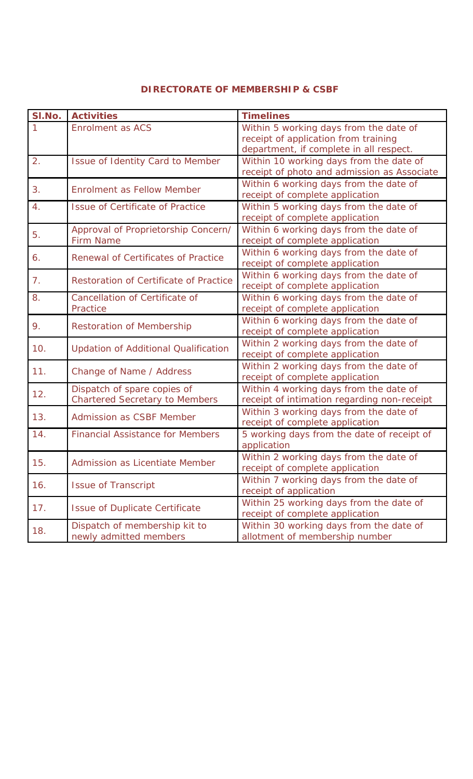#### **DIRECTORATE OF MEMBERSHIP & CSBF**

| SI.No. | <b>Activities</b>                                                    | <b>Timelines</b>                                                                                                          |
|--------|----------------------------------------------------------------------|---------------------------------------------------------------------------------------------------------------------------|
|        | <b>Enrolment as ACS</b>                                              | Within 5 working days from the date of<br>receipt of application from training<br>department, if complete in all respect. |
| 2.     | Issue of Identity Card to Member                                     | Within 10 working days from the date of<br>receipt of photo and admission as Associate                                    |
| 3.     | Enrolment as Fellow Member                                           | Within 6 working days from the date of<br>receipt of complete application                                                 |
| 4.     | <b>Issue of Certificate of Practice</b>                              | Within 5 working days from the date of<br>receipt of complete application                                                 |
| 5.     | Approval of Proprietorship Concern/<br><b>Firm Name</b>              | Within 6 working days from the date of<br>receipt of complete application                                                 |
| 6.     | Renewal of Certificates of Practice                                  | Within 6 working days from the date of<br>receipt of complete application                                                 |
| 7.     | Restoration of Certificate of Practice                               | Within 6 working days from the date of<br>receipt of complete application                                                 |
| 8.     | Cancellation of Certificate of<br>Practice                           | Within 6 working days from the date of<br>receipt of complete application                                                 |
| 9.     | <b>Restoration of Membership</b>                                     | Within 6 working days from the date of<br>receipt of complete application                                                 |
| 10.    | <b>Updation of Additional Qualification</b>                          | Within 2 working days from the date of<br>receipt of complete application                                                 |
| 11.    | Change of Name / Address                                             | Within 2 working days from the date of<br>receipt of complete application                                                 |
| 12.    | Dispatch of spare copies of<br><b>Chartered Secretary to Members</b> | Within 4 working days from the date of<br>receipt of intimation regarding non-receipt                                     |
| 13.    | <b>Admission as CSBF Member</b>                                      | Within 3 working days from the date of<br>receipt of complete application                                                 |
| 14.    | <b>Financial Assistance for Members</b>                              | 5 working days from the date of receipt of<br>application                                                                 |
| 15.    | Admission as Licentiate Member                                       | Within 2 working days from the date of<br>receipt of complete application                                                 |
| 16.    | <b>Issue of Transcript</b>                                           | Within 7 working days from the date of<br>receipt of application                                                          |
| 17.    | <b>Issue of Duplicate Certificate</b>                                | Within 25 working days from the date of<br>receipt of complete application                                                |
| 18.    | Dispatch of membership kit to<br>newly admitted members              | Within 30 working days from the date of<br>allotment of membership number                                                 |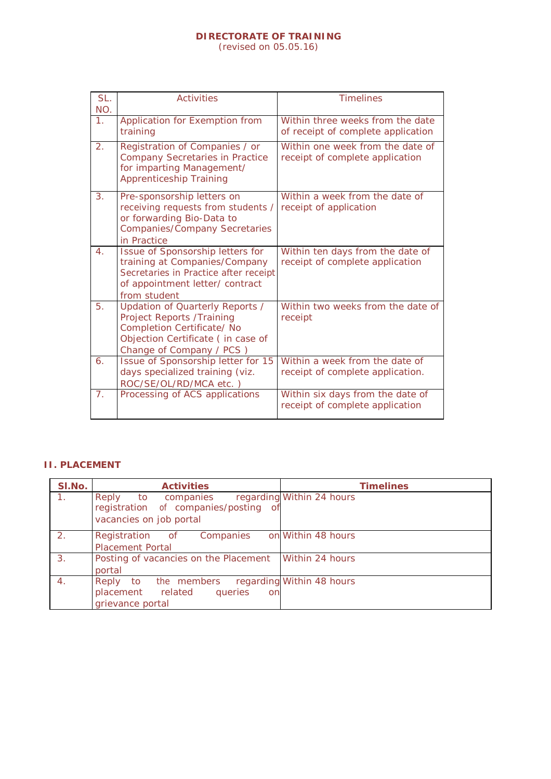# **DIRECTORATE OF TRAINING**

(revised on 05.05.16)

| SL.<br>NO.       | <b>Activities</b>                                                                                                                                                   | <b>Timelines</b>                                                       |
|------------------|---------------------------------------------------------------------------------------------------------------------------------------------------------------------|------------------------------------------------------------------------|
| 1.               | Application for Exemption from<br>training                                                                                                                          | Within three weeks from the date<br>of receipt of complete application |
| 2.               | Registration of Companies / or<br><b>Company Secretaries in Practice</b><br>for imparting Management/<br><b>Apprenticeship Training</b>                             | Within one week from the date of<br>receipt of complete application    |
| 3.               | Pre-sponsorship letters on<br>receiving requests from students /<br>or forwarding Bio-Data to<br><b>Companies/Company Secretaries</b><br>in Practice                | Within a week from the date of<br>receipt of application               |
| $\overline{4}$ . | Issue of Sponsorship letters for<br>training at Companies/Company<br>Secretaries in Practice after receipt<br>of appointment letter/contract<br>from student        | Within ten days from the date of<br>receipt of complete application    |
| 5.               | Updation of Quarterly Reports /<br><b>Project Reports /Training</b><br>Completion Certificate/ No<br>Objection Certificate (in case of<br>Change of Company / PCS ) | Within two weeks from the date of<br>receipt                           |
| 6.               | Issue of Sponsorship letter for 15<br>days specialized training (viz.<br>ROC/SE/OL/RD/MCA etc.)                                                                     | Within a week from the date of<br>receipt of complete application.     |
| 7.               | Processing of ACS applications                                                                                                                                      | Within six days from the date of<br>receipt of complete application    |

### **II. PLACEMENT**

| SI.No.         | <b>Activities</b>                       | <b>Timelines</b>          |
|----------------|-----------------------------------------|---------------------------|
| $\mathbf{1}$ . | to companies<br>Reply                   | regarding Within 24 hours |
|                | registration of companies/posting<br>of |                           |
|                | vacancies on job portal                 |                           |
| 2.             | Registration of Companies               | on Within 48 hours        |
|                | <b>Placement Portal</b>                 |                           |
| 3.             | Posting of vacancies on the Placement   | Within 24 hours           |
|                | portal                                  |                           |
| 4.             | Reply to the members                    | regarding Within 48 hours |
|                | placement related<br>queries<br>on      |                           |
|                | grievance portal                        |                           |